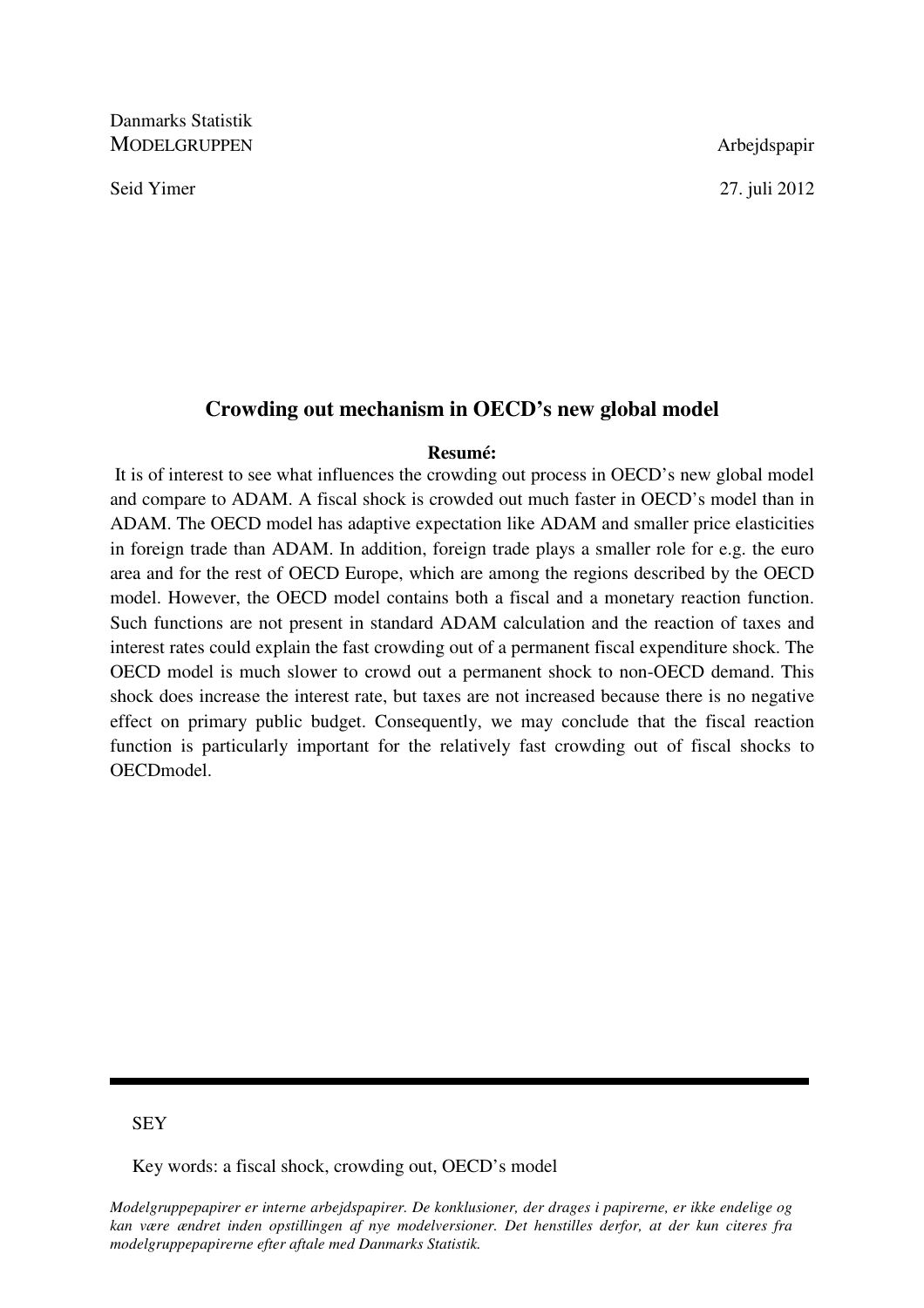Danmarks Statistik MODELGRUPPEN Arbejdspapir

Seid Yimer 27. juli 2012

# **Crowding out mechanism in OECD's new global model**

#### **Resumé:**

 It is of interest to see what influences the crowding out process in OECD's new global model and compare to ADAM. A fiscal shock is crowded out much faster in OECD's model than in ADAM. The OECD model has adaptive expectation like ADAM and smaller price elasticities in foreign trade than ADAM. In addition, foreign trade plays a smaller role for e.g. the euro area and for the rest of OECD Europe, which are among the regions described by the OECD model. However, the OECD model contains both a fiscal and a monetary reaction function. Such functions are not present in standard ADAM calculation and the reaction of taxes and interest rates could explain the fast crowding out of a permanent fiscal expenditure shock. The OECD model is much slower to crowd out a permanent shock to non-OECD demand. This shock does increase the interest rate, but taxes are not increased because there is no negative effect on primary public budget. Consequently, we may conclude that the fiscal reaction function is particularly important for the relatively fast crowding out of fiscal shocks to OECDmodel.

# **SEY**

Key words: a fiscal shock, crowding out, OECD's model

*Modelgruppepapirer er interne arbejdspapirer. De konklusioner, der drages i papirerne, er ikke endelige og kan være ændret inden opstillingen af nye modelversioner. Det henstilles derfor, at der kun citeres fra modelgruppepapirerne efter aftale med Danmarks Statistik.*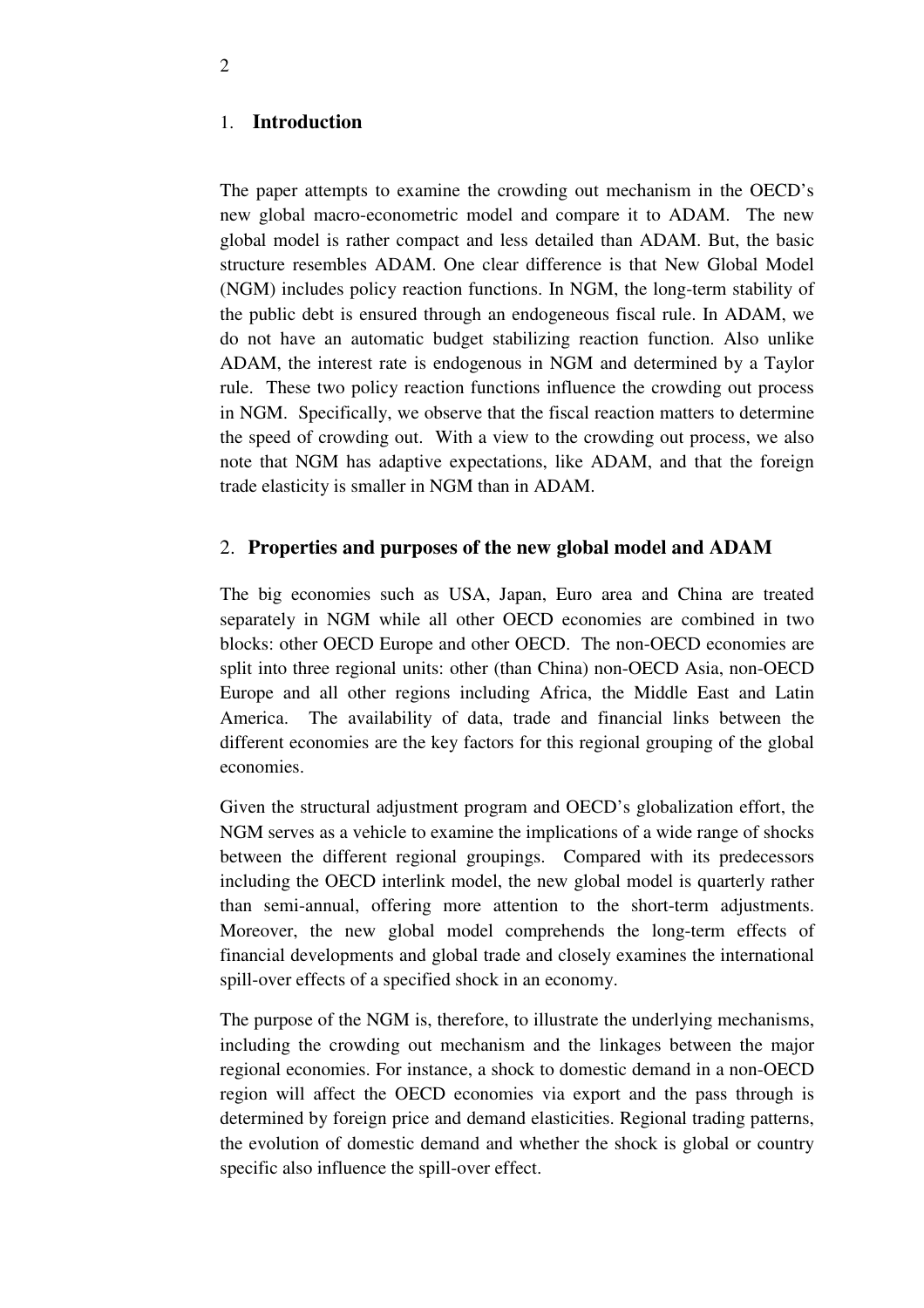### 1. **Introduction**

The paper attempts to examine the crowding out mechanism in the OECD's new global macro-econometric model and compare it to ADAM. The new global model is rather compact and less detailed than ADAM. But, the basic structure resembles ADAM. One clear difference is that New Global Model (NGM) includes policy reaction functions. In NGM, the long-term stability of the public debt is ensured through an endogeneous fiscal rule. In ADAM, we do not have an automatic budget stabilizing reaction function. Also unlike ADAM, the interest rate is endogenous in NGM and determined by a Taylor rule. These two policy reaction functions influence the crowding out process in NGM. Specifically, we observe that the fiscal reaction matters to determine the speed of crowding out. With a view to the crowding out process, we also note that NGM has adaptive expectations, like ADAM, and that the foreign trade elasticity is smaller in NGM than in ADAM.

## 2. **Properties and purposes of the new global model and ADAM**

The big economies such as USA, Japan, Euro area and China are treated separately in NGM while all other OECD economies are combined in two blocks: other OECD Europe and other OECD. The non-OECD economies are split into three regional units: other (than China) non-OECD Asia, non-OECD Europe and all other regions including Africa, the Middle East and Latin America. The availability of data, trade and financial links between the different economies are the key factors for this regional grouping of the global economies.

Given the structural adjustment program and OECD's globalization effort, the NGM serves as a vehicle to examine the implications of a wide range of shocks between the different regional groupings. Compared with its predecessors including the OECD interlink model, the new global model is quarterly rather than semi-annual, offering more attention to the short-term adjustments. Moreover, the new global model comprehends the long-term effects of financial developments and global trade and closely examines the international spill-over effects of a specified shock in an economy.

The purpose of the NGM is, therefore, to illustrate the underlying mechanisms, including the crowding out mechanism and the linkages between the major regional economies. For instance, a shock to domestic demand in a non-OECD region will affect the OECD economies via export and the pass through is determined by foreign price and demand elasticities. Regional trading patterns, the evolution of domestic demand and whether the shock is global or country specific also influence the spill-over effect.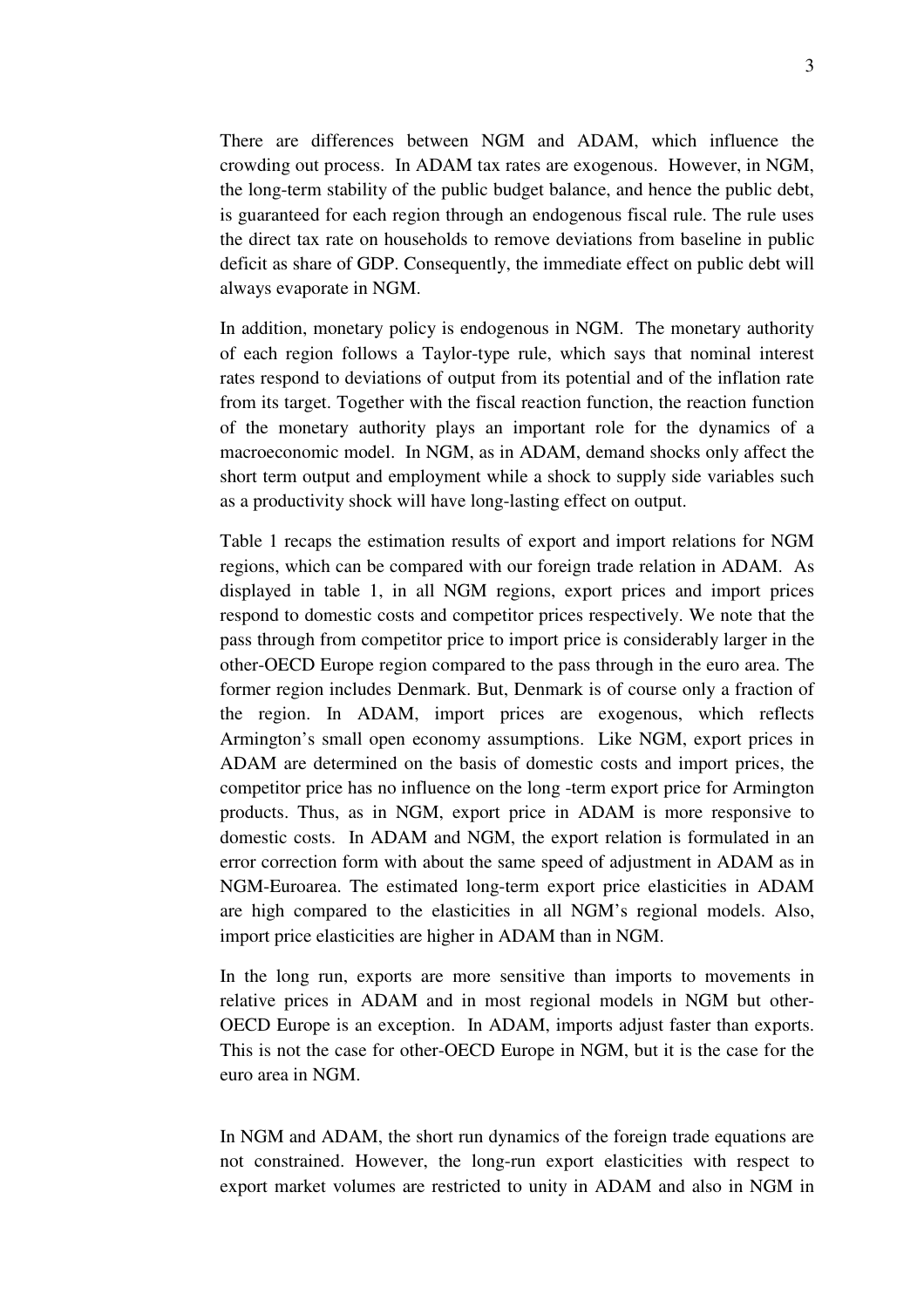There are differences between NGM and ADAM, which influence the crowding out process. In ADAM tax rates are exogenous. However, in NGM, the long-term stability of the public budget balance, and hence the public debt, is guaranteed for each region through an endogenous fiscal rule. The rule uses the direct tax rate on households to remove deviations from baseline in public deficit as share of GDP. Consequently, the immediate effect on public debt will always evaporate in NGM.

In addition, monetary policy is endogenous in NGM. The monetary authority of each region follows a Taylor-type rule, which says that nominal interest rates respond to deviations of output from its potential and of the inflation rate from its target. Together with the fiscal reaction function, the reaction function of the monetary authority plays an important role for the dynamics of a macroeconomic model. In NGM, as in ADAM, demand shocks only affect the short term output and employment while a shock to supply side variables such as a productivity shock will have long-lasting effect on output.

Table 1 recaps the estimation results of export and import relations for NGM regions, which can be compared with our foreign trade relation in ADAM. As displayed in table 1, in all NGM regions, export prices and import prices respond to domestic costs and competitor prices respectively. We note that the pass through from competitor price to import price is considerably larger in the other-OECD Europe region compared to the pass through in the euro area. The former region includes Denmark. But, Denmark is of course only a fraction of the region. In ADAM, import prices are exogenous, which reflects Armington's small open economy assumptions. Like NGM, export prices in ADAM are determined on the basis of domestic costs and import prices, the competitor price has no influence on the long -term export price for Armington products. Thus, as in NGM, export price in ADAM is more responsive to domestic costs. In ADAM and NGM, the export relation is formulated in an error correction form with about the same speed of adjustment in ADAM as in NGM-Euroarea. The estimated long-term export price elasticities in ADAM are high compared to the elasticities in all NGM's regional models. Also, import price elasticities are higher in ADAM than in NGM.

In the long run, exports are more sensitive than imports to movements in relative prices in ADAM and in most regional models in NGM but other-OECD Europe is an exception. In ADAM, imports adjust faster than exports. This is not the case for other-OECD Europe in NGM, but it is the case for the euro area in NGM.

In NGM and ADAM, the short run dynamics of the foreign trade equations are not constrained. However, the long-run export elasticities with respect to export market volumes are restricted to unity in ADAM and also in NGM in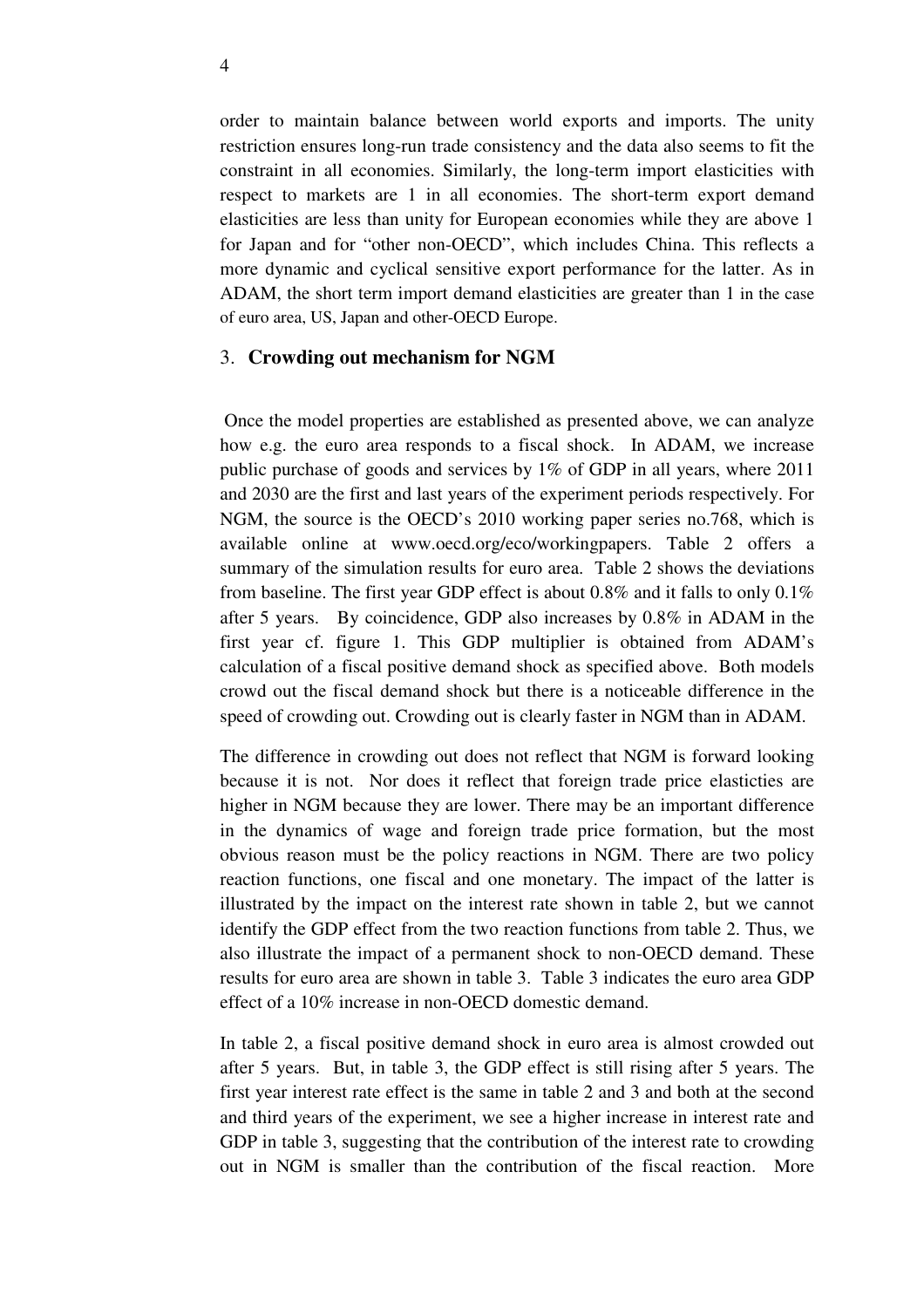order to maintain balance between world exports and imports. The unity restriction ensures long-run trade consistency and the data also seems to fit the constraint in all economies. Similarly, the long-term import elasticities with respect to markets are 1 in all economies. The short-term export demand elasticities are less than unity for European economies while they are above 1 for Japan and for "other non-OECD", which includes China. This reflects a more dynamic and cyclical sensitive export performance for the latter. As in ADAM, the short term import demand elasticities are greater than 1 in the case of euro area, US, Japan and other-OECD Europe.

### 3. **Crowding out mechanism for NGM**

Once the model properties are established as presented above, we can analyze how e.g. the euro area responds to a fiscal shock. In ADAM, we increase public purchase of goods and services by 1% of GDP in all years, where 2011 and 2030 are the first and last years of the experiment periods respectively. For NGM, the source is the OECD's 2010 working paper series no.768, which is available online at www.oecd.org/eco/workingpapers. Table 2 offers a summary of the simulation results for euro area. Table 2 shows the deviations from baseline. The first year GDP effect is about 0.8% and it falls to only 0.1% after 5 years. By coincidence, GDP also increases by 0.8% in ADAM in the first year cf. figure 1. This GDP multiplier is obtained from ADAM's calculation of a fiscal positive demand shock as specified above. Both models crowd out the fiscal demand shock but there is a noticeable difference in the speed of crowding out. Crowding out is clearly faster in NGM than in ADAM.

The difference in crowding out does not reflect that NGM is forward looking because it is not. Nor does it reflect that foreign trade price elasticties are higher in NGM because they are lower. There may be an important difference in the dynamics of wage and foreign trade price formation, but the most obvious reason must be the policy reactions in NGM. There are two policy reaction functions, one fiscal and one monetary. The impact of the latter is illustrated by the impact on the interest rate shown in table 2, but we cannot identify the GDP effect from the two reaction functions from table 2. Thus, we also illustrate the impact of a permanent shock to non-OECD demand. These results for euro area are shown in table 3. Table 3 indicates the euro area GDP effect of a 10% increase in non-OECD domestic demand.

In table 2, a fiscal positive demand shock in euro area is almost crowded out after 5 years. But, in table 3, the GDP effect is still rising after 5 years. The first year interest rate effect is the same in table 2 and 3 and both at the second and third years of the experiment, we see a higher increase in interest rate and GDP in table 3, suggesting that the contribution of the interest rate to crowding out in NGM is smaller than the contribution of the fiscal reaction. More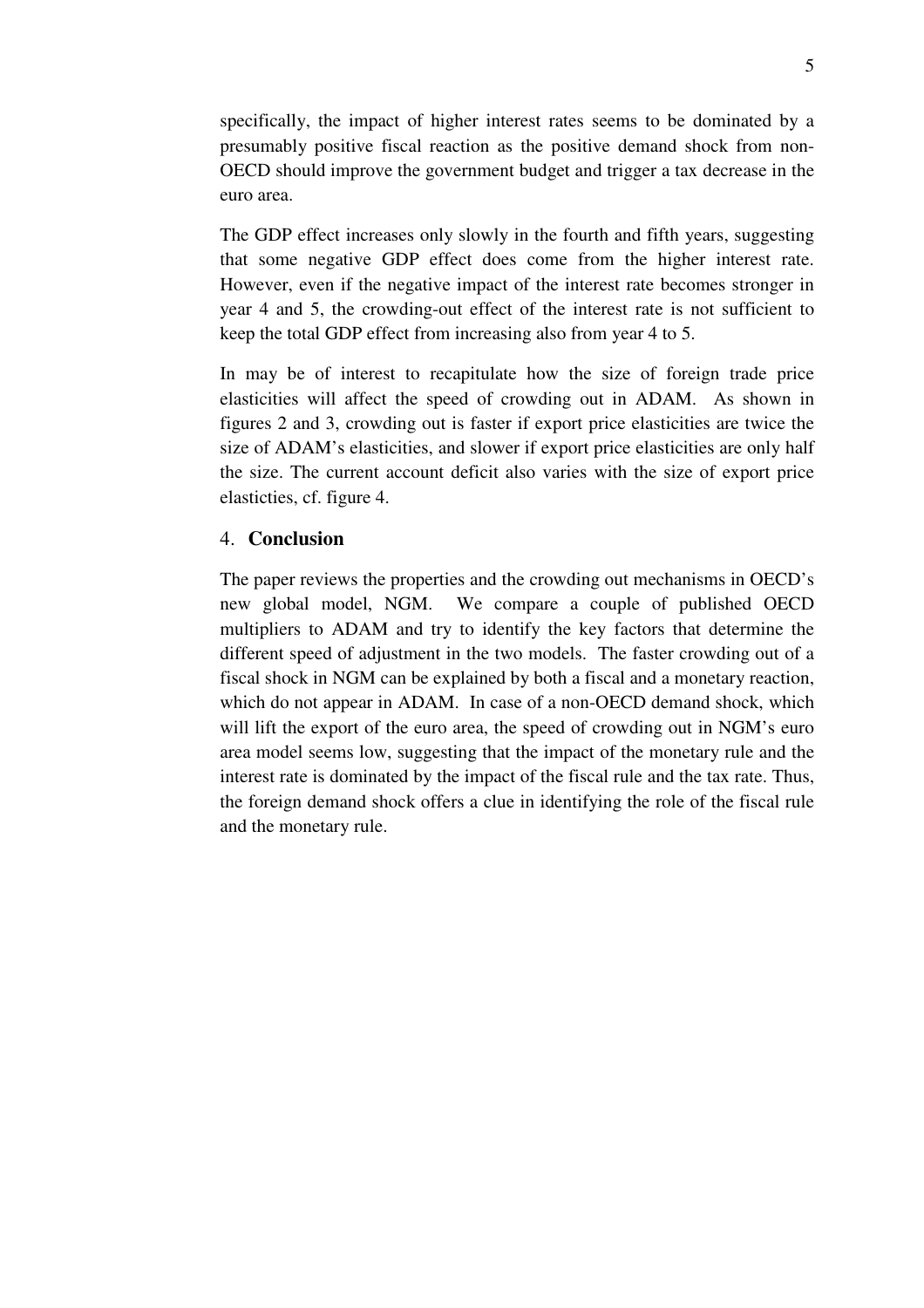specifically, the impact of higher interest rates seems to be dominated by a presumably positive fiscal reaction as the positive demand shock from non-OECD should improve the government budget and trigger a tax decrease in the euro area.

The GDP effect increases only slowly in the fourth and fifth years, suggesting that some negative GDP effect does come from the higher interest rate. However, even if the negative impact of the interest rate becomes stronger in year 4 and 5, the crowding-out effect of the interest rate is not sufficient to keep the total GDP effect from increasing also from year 4 to 5.

In may be of interest to recapitulate how the size of foreign trade price elasticities will affect the speed of crowding out in ADAM. As shown in figures 2 and 3, crowding out is faster if export price elasticities are twice the size of ADAM's elasticities, and slower if export price elasticities are only half the size. The current account deficit also varies with the size of export price elasticties, cf. figure 4.

# 4. **Conclusion**

The paper reviews the properties and the crowding out mechanisms in OECD's new global model, NGM. We compare a couple of published OECD multipliers to ADAM and try to identify the key factors that determine the different speed of adjustment in the two models. The faster crowding out of a fiscal shock in NGM can be explained by both a fiscal and a monetary reaction, which do not appear in ADAM. In case of a non-OECD demand shock, which will lift the export of the euro area, the speed of crowding out in NGM's euro area model seems low, suggesting that the impact of the monetary rule and the interest rate is dominated by the impact of the fiscal rule and the tax rate. Thus, the foreign demand shock offers a clue in identifying the role of the fiscal rule and the monetary rule.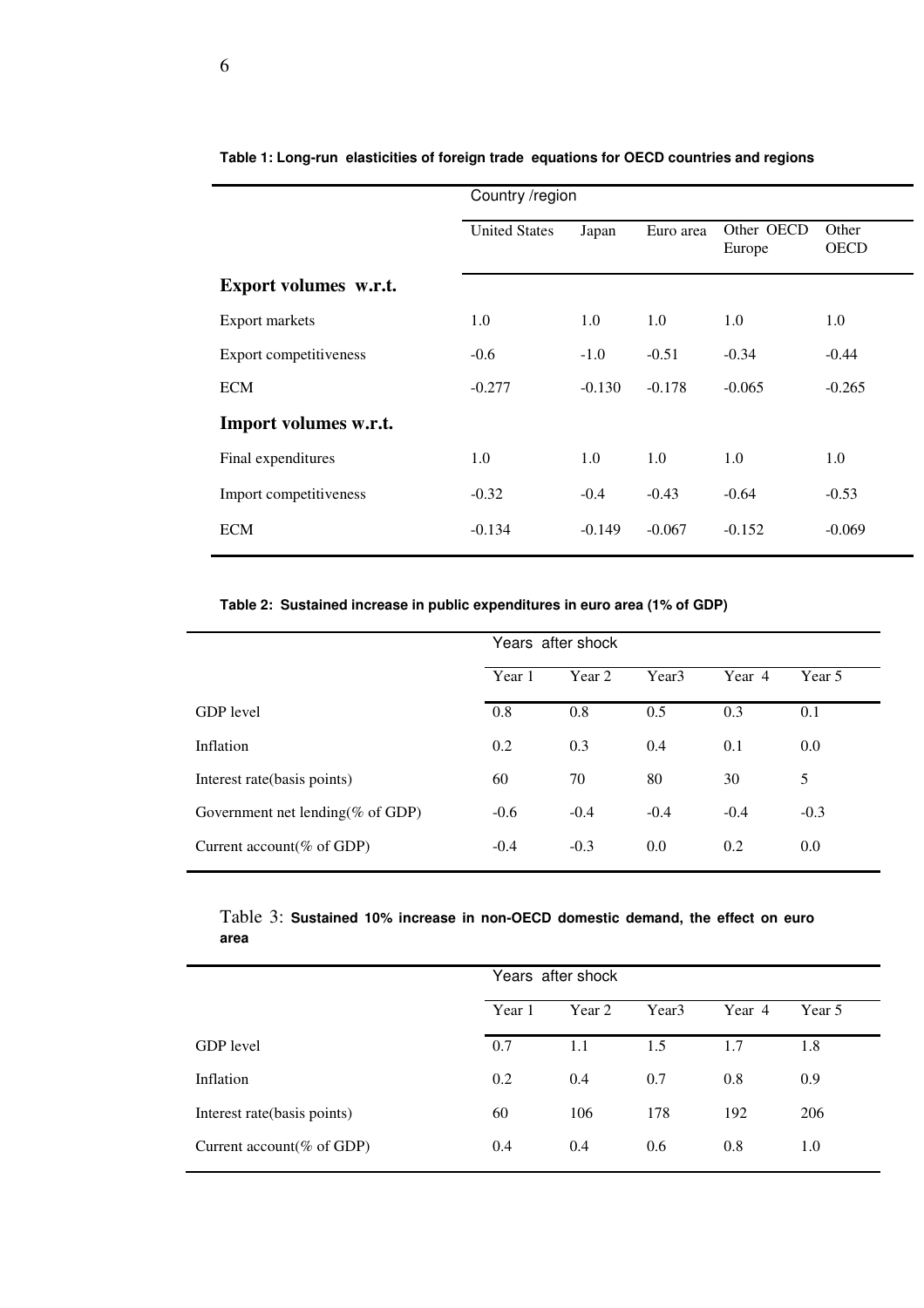|                        | Country /region      |          |           |                      |                      |  |  |
|------------------------|----------------------|----------|-----------|----------------------|----------------------|--|--|
|                        | <b>United States</b> | Japan    | Euro area | Other OECD<br>Europe | Other<br><b>OECD</b> |  |  |
| Export volumes w.r.t.  |                      |          |           |                      |                      |  |  |
| Export markets         | 1.0                  | 1.0      | 1.0       | 1.0                  | 1.0                  |  |  |
| Export competitiveness | $-0.6$               | $-1.0$   | $-0.51$   | $-0.34$              | $-0.44$              |  |  |
| <b>ECM</b>             | $-0.277$             | $-0.130$ | $-0.178$  | $-0.065$             | $-0.265$             |  |  |
| Import volumes w.r.t.  |                      |          |           |                      |                      |  |  |
| Final expenditures     | 1.0                  | 1.0      | 1.0       | 1.0                  | 1.0                  |  |  |
| Import competitiveness | $-0.32$              | $-0.4$   | $-0.43$   | $-0.64$              | $-0.53$              |  |  |
| <b>ECM</b>             | $-0.134$             | $-0.149$ | $-0.067$  | $-0.152$             | $-0.069$             |  |  |

**Table 1: Long-run elasticities of foreign trade equations for OECD countries and regions**

## **Table 2: Sustained increase in public expenditures in euro area (1% of GDP)**

|                                   | Years after shock |        |                   |        |        |  |  |
|-----------------------------------|-------------------|--------|-------------------|--------|--------|--|--|
|                                   | Year 1            | Year 2 | Year <sub>3</sub> | Year 4 | Year 5 |  |  |
| <b>GDP</b> level                  | 0.8               | 0.8    | 0.5               | 0.3    | 0.1    |  |  |
| Inflation                         | 0.2               | 0.3    | 0.4               | 0.1    | 0.0    |  |  |
| Interest rate (basis points)      | 60                | 70     | 80                | 30     | 5      |  |  |
| Government net lending (% of GDP) | $-0.6$            | $-0.4$ | $-0.4$            | $-0.4$ | $-0.3$ |  |  |
| Current account $(\%$ of GDP)     | $-0.4$            | $-0.3$ | 0.0               | 0.2    | 0.0    |  |  |

## Table 3: **Sustained 10% increase in non-OECD domestic demand, the effect on euro area**

|                                       | Years after shock |        |                   |        |        |  |  |
|---------------------------------------|-------------------|--------|-------------------|--------|--------|--|--|
|                                       | Year 1            | Year 2 | Year <sub>3</sub> | Year 4 | Year 5 |  |  |
| <b>GDP</b> level                      | 0.7               | 1.1    | 1.5               | 1.7    | 1.8    |  |  |
| Inflation                             | 0.2               | 0.4    | 0.7               | 0.8    | 0.9    |  |  |
| Interest rate (basis points)          | 60                | 106    | 178               | 192    | 206    |  |  |
| Current account $(\% \text{ of GDP})$ | 0.4               | 0.4    | 0.6               | 0.8    | 1.0    |  |  |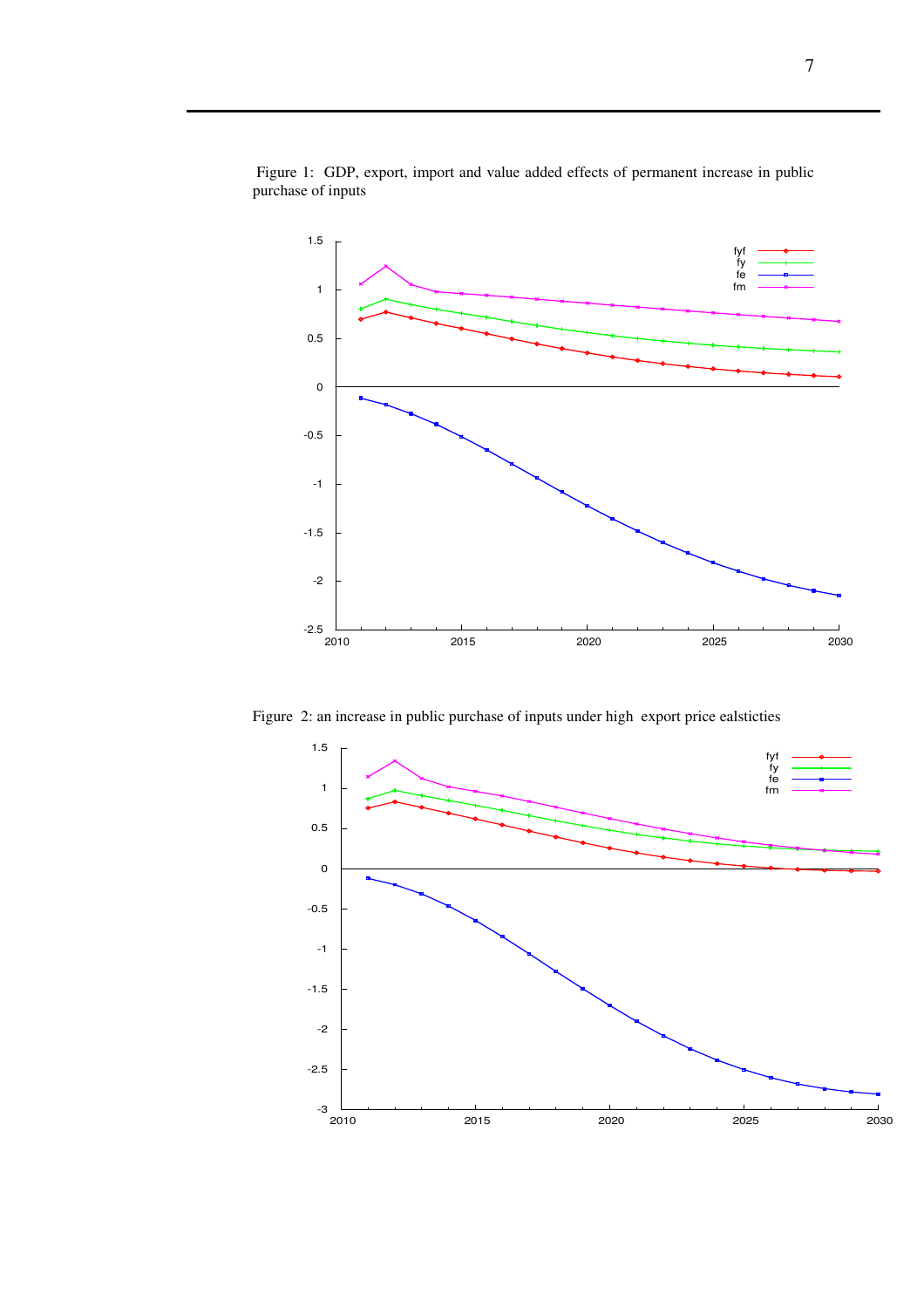

 Figure 1: GDP, export, import and value added effects of permanent increase in public purchase of inputs

Figure 2: an increase in public purchase of inputs under high export price ealsticties